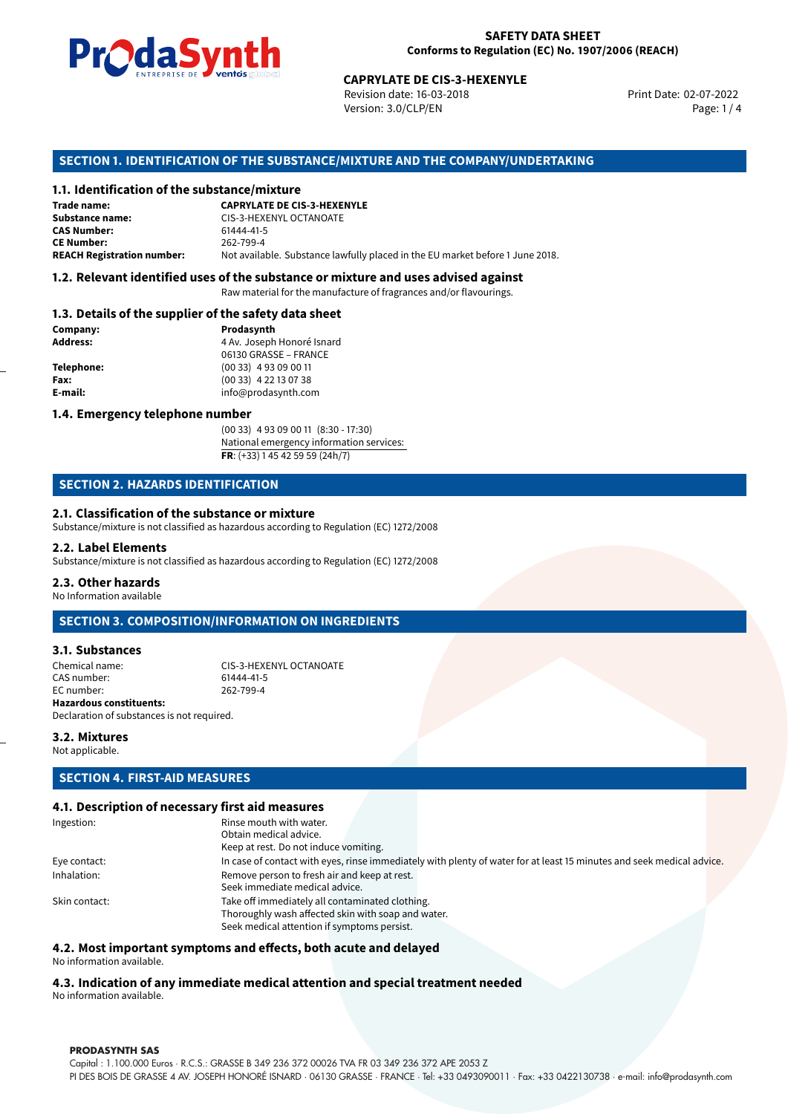

Revision date: 16-03-2018 Version: 3.0/CLP/EN Page: 1 / 4

Print Date: 02-07-2022

### **SECTION 1. IDENTIFICATION OF THE SUBSTANCE/MIXTURE AND THE COMPANY/UNDERTAKING**

### **1.1. Identification of the substance/mixture**

|                                              | LIVING PLUG COMPOSITIONS           | <b>CAPRYLATE DE CIS-3-HEXENYLE</b><br>Revision date: 16-03-2018<br>Version: 3.0/CLP/EN |
|----------------------------------------------|------------------------------------|----------------------------------------------------------------------------------------|
|                                              |                                    | SECTION 1. IDENTIFICATION OF THE SUBSTANCE/MIXTURE AND THE COMPANY/UNDERTAKI           |
| 1.1. Identification of the substance/mixture |                                    |                                                                                        |
| Trade name:                                  | <b>CAPRYLATE DE CIS-3-HEXENYLE</b> |                                                                                        |
| Substance name:                              | CIS-3-HEXENYL OCTANOATE            |                                                                                        |
| <b>CAS Number:</b>                           | 61444-41-5                         |                                                                                        |
| <b>CE Number:</b>                            | 262-799-4                          |                                                                                        |
| <b>REACH Registration number:</b>            |                                    | Not available. Substance lawfully placed in the EU market before 1 June 2018.          |
|                                              |                                    |                                                                                        |

#### **1.2. Relevant identified uses of the substance or mixture and uses advised against**

Raw material for the manufacture of fragrances and/or flavourings.

#### **1.3. Details of the supplier of the safety data sheet**

| Company:          | Prodasynth                 |  |
|-------------------|----------------------------|--|
| <b>Address:</b>   | 4 Av. Joseph Honoré Isnard |  |
|                   | 06130 GRASSE - FRANCE      |  |
| <b>Telephone:</b> | $(0033)$ 4 93 09 00 11     |  |
| Fax:              | $(0033)$ 4 22 13 07 38     |  |
| E-mail:           | info@prodasynth.com        |  |
|                   |                            |  |

### **1.4. Emergency telephone number**

(00 33) 4 93 09 00 11 (8:30 - 17:30) National emergency information services: **FR**: (+33) 1 45 42 59 59 (24h/7)

### **SECTION 2. HAZARDS IDENTIFICATION**

#### **2.1. Classification of the substance or mixture**

Substance/mixture is not classified as hazardous according to Regulation (EC) 1272/2008

#### **2.2. Label Elements**

Substance/mixture is not classified as hazardous according to Regulation (EC) 1272/2008

#### **2.3. Other hazards**

No Information available

### **SECTION 3. COMPOSITION/INFORMATION ON INGREDIENTS**

### **3.1. Substances**

Chemical name: CIS-3-HEXENYL OCTANOATE CAS number: 61444-41-5<br>EC number: 262-799-4 EC number: **Hazardous constituents:**

**3.2. Mixtures**

Not applicable.

### **SECTION 4. FIRST-AID MEASURES**

Declaration of substances is not required.

### **4.1. Description of necessary first aid measures**

| Ingestion:    | Rinse mouth with water.                                                                                               |  |
|---------------|-----------------------------------------------------------------------------------------------------------------------|--|
|               | Obtain medical advice.                                                                                                |  |
|               | Keep at rest. Do not induce vomiting.                                                                                 |  |
| Eye contact:  | In case of contact with eyes, rinse immediately with plenty of water for at least 15 minutes and seek medical advice. |  |
| Inhalation:   | Remove person to fresh air and keep at rest.                                                                          |  |
|               | Seek immediate medical advice.                                                                                        |  |
| Skin contact: | Take off immediately all contaminated clothing.                                                                       |  |
|               | Thoroughly wash affected skin with soap and water.                                                                    |  |
|               | Seek medical attention if symptoms persist.                                                                           |  |
|               |                                                                                                                       |  |

#### **4.2. Most important symptoms and effects, both acute and delayed**

No information available.

## **4.3. Indication of any immediate medical attention and special treatment needed**

No information available.

#### **PRODASYNTH SAS**

Capital : 1.100.000 Euros · R.C.S.: GRASSE B 349 236 372 00026 TVA FR 03 349 236 372 APE 2053 Z PI DES BOIS DE GRASSE 4 AV. JOSEPH HONORÉ ISNARD · 06130 GRASSE · FRANCE · Tel: +33 0493090011 · Fax: +33 0422130738 · e-mail: info@prodasynth.com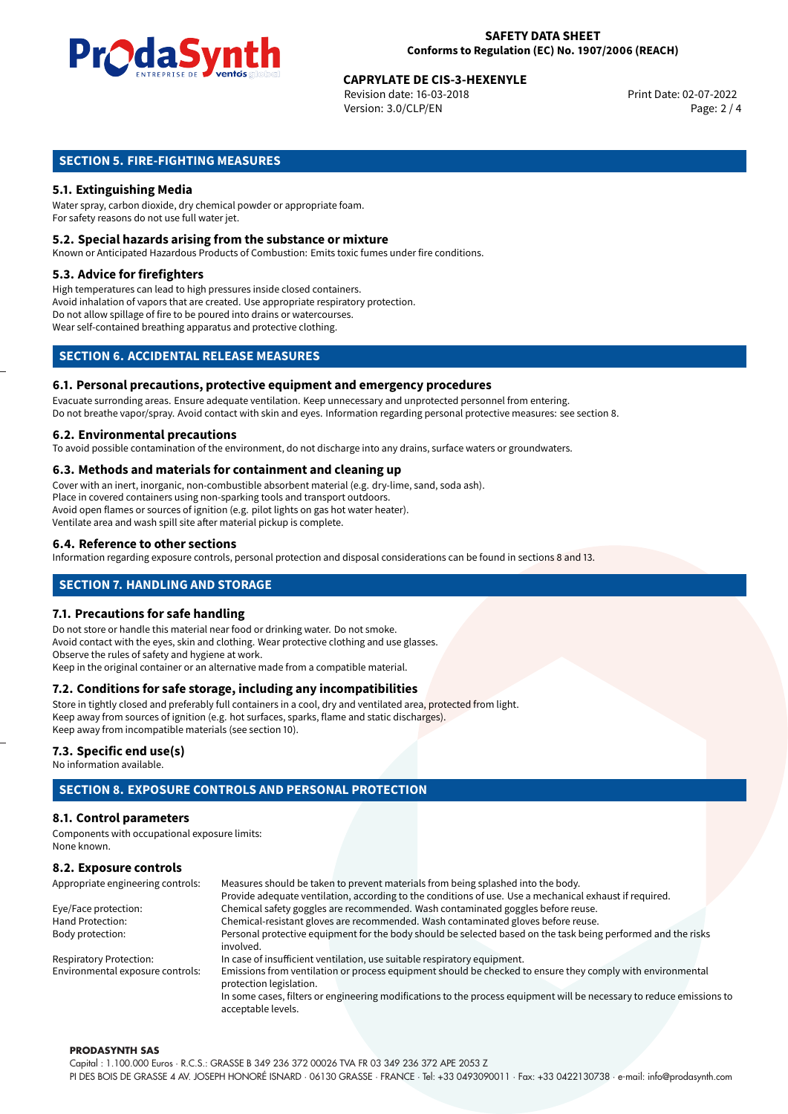

## **CAPRYLATE DE CIS-3-HEXENYLE**<br>
Revision date: 16-03-2018<br>
Print Date: 02-07-2022

Revision date: 16-03-2018 Version: 3.0/CLP/EN Page: 2 / 4

### **SECTION 5. FIRE-FIGHTING MEASURES**

### **5.1. Extinguishing Media**

Water spray, carbon dioxide, dry chemical powder or appropriate foam. For safety reasons do not use full water jet.

### **5.2. Special hazards arising from the substance or mixture**

Known or Anticipated Hazardous Products of Combustion: Emits toxic fumes under fire conditions.

### **5.3. Advice for firefighters**

High temperatures can lead to high pressures inside closed containers. Avoid inhalation of vapors that are created. Use appropriate respiratory protection. Do not allow spillage of fire to be poured into drains or watercourses. Wear self-contained breathing apparatus and protective clothing.

### **SECTION 6. ACCIDENTAL RELEASE MEASURES**

#### **6.1. Personal precautions, protective equipment and emergency procedures**

Evacuate surronding areas. Ensure adequate ventilation. Keep unnecessary and unprotected personnel from entering. Do not breathe vapor/spray. Avoid contact with skin and eyes. Information regarding personal protective measures: see section 8.

#### **6.2. Environmental precautions**

To avoid possible contamination of the environment, do not discharge into any drains, surface waters or groundwaters.

#### **6.3. Methods and materials for containment and cleaning up**

Cover with an inert, inorganic, non-combustible absorbent material (e.g. dry-lime, sand, soda ash). Place in covered containers using non-sparking tools and transport outdoors. Avoid open flames or sources of ignition (e.g. pilot lights on gas hot water heater). Ventilate area and wash spill site after material pickup is complete.

### **6.4. Reference to other sections**

Information regarding exposure controls, personal protection and disposal considerations can be found in sections 8 and 13.

### **SECTION 7. HANDLING AND STORAGE**

### **7.1. Precautions for safe handling**

Do not store or handle this material near food or drinking water. Do not smoke. Avoid contact with the eyes, skin and clothing. Wear protective clothing and use glasses. Observe the rules of safety and hygiene at work. Keep in the original container or an alternative made from a compatible material.

### **7.2. Conditions for safe storage, including any incompatibilities**

Store in tightly closed and preferably full containers in a cool, dry and ventilated area, protected from light. Keep away from sources of ignition (e.g. hot surfaces, sparks, flame and static discharges). Keep away from incompatible materials (see section 10).

### **7.3. Specific end use(s)**

No information available.

### **SECTION 8. EXPOSURE CONTROLS AND PERSONAL PROTECTION**

### **8.1. Control parameters**

Components with occupational exposure limits: None known.

### **8.2. Exposure controls**

| Appropriate engineering controls: | Measures should be taken to prevent materials from being splashed into the body.                                                            |
|-----------------------------------|---------------------------------------------------------------------------------------------------------------------------------------------|
|                                   | Provide adequate ventilation, according to the conditions of use. Use a mechanical exhaust if required.                                     |
| Eye/Face protection:              | Chemical safety goggles are recommended. Wash contaminated goggles before reuse.                                                            |
| Hand Protection:                  | Chemical-resistant gloves are recommended. Wash contaminated gloves before reuse.                                                           |
| Body protection:                  | Personal protective equipment for the body should be selected based on the task being performed and the risks                               |
|                                   | involved.                                                                                                                                   |
| <b>Respiratory Protection:</b>    | In case of insufficient ventilation, use suitable respiratory equipment.                                                                    |
| Environmental exposure controls:  | Emissions from ventilation or process equipment should be checked to ensure they comply with environmental<br>protection legislation.       |
|                                   | In some cases, filters or engineering modifications to the process equipment will be necessary to reduce emissions to<br>acceptable levels. |

#### **PRODASYNTH SAS**

Capital : 1.100.000 Euros · R.C.S.: GRASSE B 349 236 372 00026 TVA FR 03 349 236 372 APE 2053 Z PI DES BOIS DE GRASSE 4 AV. JOSEPH HONORÉ ISNARD · 06130 GRASSE · FRANCE · Tel: +33 0493090011 · Fax: +33 0422130738 · e-mail: info@prodasynth.com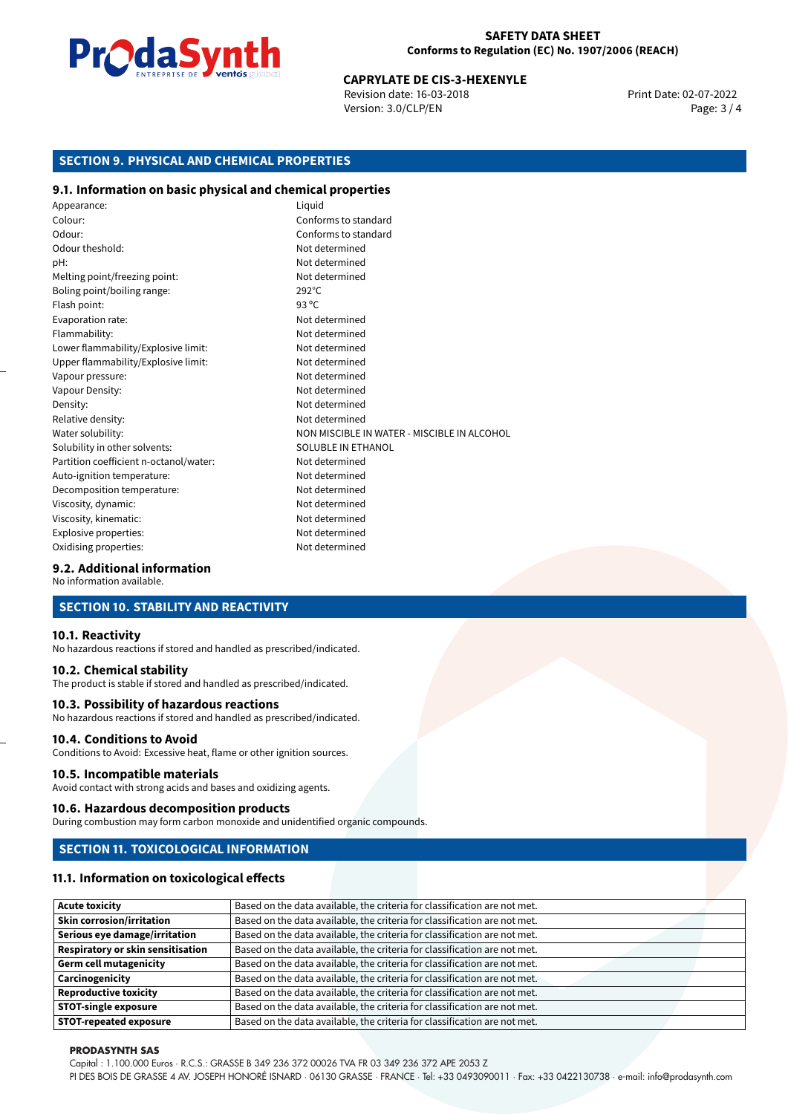

# **CAPRYLATE DE CIS-3-HEXENYLE**<br>
Revision date: 16-03-2018<br>
Print Date: 02-07-2022

Revision date: 16-03-2018 Version: 3.0/CLP/EN Page: 3 / 4

### **SECTION 9. PHYSICAL AND CHEMICAL PROPERTIES**

### **9.1. Information on basic physical and chemical properties**

| Appearance:                            | Liquid                                      |
|----------------------------------------|---------------------------------------------|
| Colour:                                | Conforms to standard                        |
| Odour:                                 | Conforms to standard                        |
| Odour theshold:                        | Not determined                              |
| pH:                                    | Not determined                              |
| Melting point/freezing point:          | Not determined                              |
| Boling point/boiling range:            | $292^{\circ}$ C                             |
| Flash point:                           | 93 $^{\circ}$ C                             |
| Evaporation rate:                      | Not determined                              |
| Flammability:                          | Not determined                              |
| Lower flammability/Explosive limit:    | Not determined                              |
| Upper flammability/Explosive limit:    | Not determined                              |
| Vapour pressure:                       | Not determined                              |
| Vapour Density:                        | Not determined                              |
| Density:                               | Not determined                              |
| Relative density:                      | Not determined                              |
| Water solubility:                      | NON MISCIBLE IN WATER - MISCIBLE IN ALCOHOL |
| Solubility in other solvents:          | SOLUBLE IN ETHANOL                          |
| Partition coefficient n-octanol/water: | Not determined                              |
| Auto-ignition temperature:             | Not determined                              |
| Decomposition temperature:             | Not determined                              |
| Viscosity, dynamic:                    | Not determined                              |
| Viscosity, kinematic:                  | Not determined                              |
| Explosive properties:                  | Not determined                              |
| Oxidising properties:                  | Not determined                              |

### **9.2. Additional information**

No information available.

### **SECTION 10. STABILITY AND REACTIVITY**

#### **10.1. Reactivity**

No hazardous reactions if stored and handled as prescribed/indicated.

### **10.2. Chemical stability**

The product is stable if stored and handled as prescribed/indicated.

#### **10.3. Possibility of hazardous reactions**

No hazardous reactions if stored and handled as prescribed/indicated.

### **10.4. Conditions to Avoid**

Conditions to Avoid: Excessive heat, flame or other ignition sources.

#### **10.5. Incompatible materials**

Avoid contact with strong acids and bases and oxidizing agents.

#### **10.6. Hazardous decomposition products**

During combustion may form carbon monoxide and unidentified organic compounds.

### **SECTION 11. TOXICOLOGICAL INFORMATION**

### **11.1. Information on toxicological effects**

| <b>Acute toxicity</b>                    | Based on the data available, the criteria for classification are not met. |
|------------------------------------------|---------------------------------------------------------------------------|
| <b>Skin corrosion/irritation</b>         | Based on the data available, the criteria for classification are not met. |
| Serious eye damage/irritation            | Based on the data available, the criteria for classification are not met. |
| <b>Respiratory or skin sensitisation</b> | Based on the data available, the criteria for classification are not met. |
| <b>Germ cell mutagenicity</b>            | Based on the data available, the criteria for classification are not met. |
| Carcinogenicity                          | Based on the data available, the criteria for classification are not met. |
| <b>Reproductive toxicity</b>             | Based on the data available, the criteria for classification are not met. |
| <b>STOT-single exposure</b>              | Based on the data available, the criteria for classification are not met. |
| <b>STOT-repeated exposure</b>            | Based on the data available, the criteria for classification are not met. |

#### **PRODASYNTH SAS**

Capital : 1.100.000 Euros · R.C.S.: GRASSE B 349 236 372 00026 TVA FR 03 349 236 372 APE 2053 Z

PI DES BOIS DE GRASSE 4 AV. JOSEPH HONORÉ ISNARD · 06130 GRASSE · FRANCE · Tel: +33 0493090011 · Fax: +33 0422130738 · e-mail: info@prodasynth.com